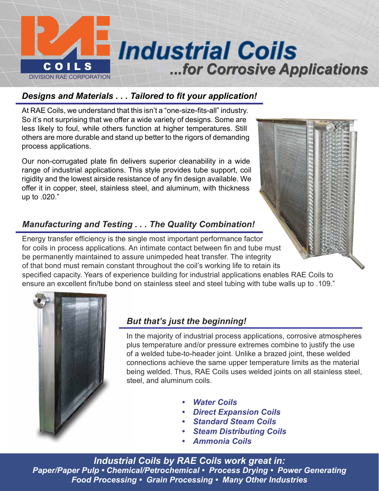

## *Designs and Materials . . . Tailored to fit your application!*

At RAE Coils, we understand that this isn't a "one-size-fits-all" industry. So it's not surprising that we offer a wide variety of designs. Some are less likely to foul, while others function at higher temperatures. Still others are more durable and stand up better to the rigors of demanding process applications.

Our non-corrugated plate fin delivers superior cleanability in a wide range of industrial applications. This style provides tube support, coil rigidity and the lowest airside resistance of any fin design available. We offer it in copper, steel, stainless steel, and aluminum, with thickness up to .020."

## *Manufacturing and Testing . . . The Quality Combination!*

Energy transfer efficiency is the single most important performance factor for coils in process applications. An intimate contact between fin and tube must be permanently maintained to assure unimpeded heat transfer. The integrity of that bond must remain constant throughout the coil's working life to retain its specified capacity. Years of experience building for industrial applications enables RAE Coils to ensure an excellent fin/tube bond on stainless steel and steel tubing with tube walls up to .109."



## *But that's just the beginning!*

In the majority of industrial process applications, corrosive atmospheres plus temperature and/or pressure extremes combine to justify the use of a welded tube-to-header joint. Unlike a brazed joint, these welded connections achieve the same upper temperature limits as the material being welded. Thus, RAE Coils uses welded joints on all stainless steel, steel, and aluminum coils.

- *• Water Coils*
- *• Direct Expansion Coils*
- *• Standard Steam Coils*
- *• Steam Distributing Coils*
- *• Ammonia Coils*

*Industrial Coils by RAE Coils work great in: Paper/Paper Pulp • Chemical/Petrochemical • Process Drying • Power Generating Food Processing • Grain Processing • Many Other Industries*